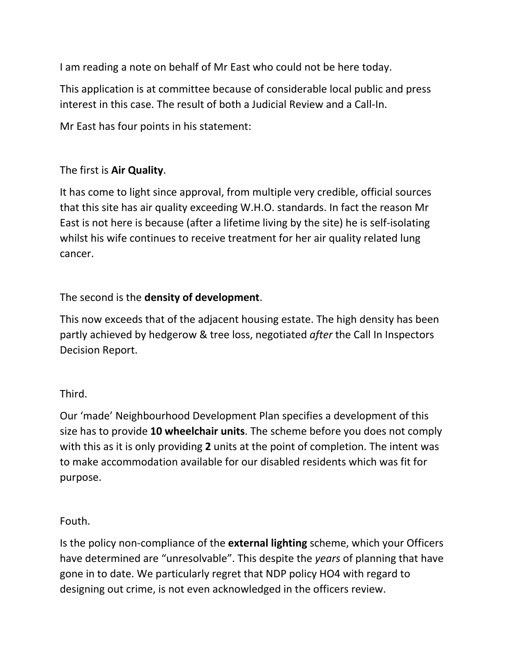I am reading a note on behalf of Mr East who could not be here today.

This application is at committee because of considerable local public and press interest in this case. The result of both a Judicial Review and a Call-In.

Mr East has four points in his statement:

## The first is **Air Quality**.

It has come to light since approval, from multiple very credible, official sources that this site has air quality exceeding W.H.O. standards. In fact the reason Mr East is not here is because (after a lifetime living by the site) he is self-isolating whilst his wife continues to receive treatment for her air quality related lung cancer.

## The second is the **density of development**.

This now exceeds that of the adjacent housing estate. The high density has been partly achieved by hedgerow & tree loss, negotiated *after* the Call In Inspectors Decision Report.

## Third.

Our 'made' Neighbourhood Development Plan specifies a development of this size has to provide **10 wheelchair units**. The scheme before you does not comply with this as it is only providing **2** units at the point of completion. The intent was to make accommodation available for our disabled residents which was fit for purpose.

## Fouth.

Is the policy non-compliance of the **external lighting** scheme, which your Officers have determined are "unresolvable". This despite the *years* of planning that have gone in to date. We particularly regret that NDP policy HO4 with regard to designing out crime, is not even acknowledged in the officers review.